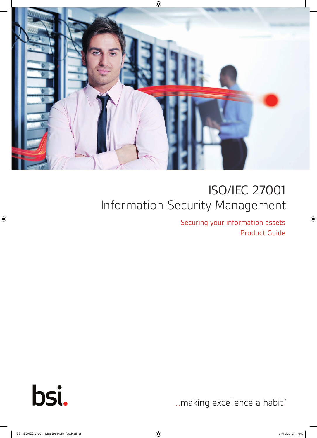

# ISO/IEC 27001 Information Security Management

Securing your information assets Product Guide



... making excellence a habit."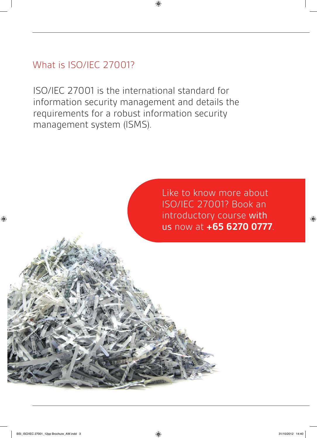## What is ISO/IEC 27001?

ISO/IEC 27001 is the international standard for information security management and details the requirements for a robust information security management system (ISMS).

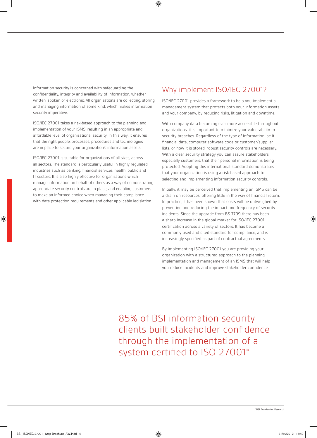Information security is concerned with safeguarding the confidentiality, integrity and availability of information, whether written, spoken or electronic. All organizations are collecting, storing and managing information of some kind, which makes information security imperative.

ISO/IEC 27001 takes a risk-based approach to the planning and implementation of your ISMS, resulting in an appropriate and affordable level of organizational security. In this way, it ensures that the right people, processes, procedures and technologies are in place to secure your organization's information assets.

ISO/IEC 27001 is suitable for organizations of all sizes, across all sectors. The standard is particularly useful in highly regulated industries such as banking, financial services, health, public and IT sectors. It is also highly effective for organizations which manage information on behalf of others as a way of demonstrating appropriate security controls are in place, and enabling customers to make an informed choice when managing their compliance with data protection requirements and other applicable legislation.

## Why implement ISO/IEC 27001?

ISO/IEC 27001 provides a framework to help you implement a management system that protects both your information assets and your company, by reducing risks, litigation and downtime.

With company data becoming ever more accessible throughout organizations, it is important to minimize your vulnerability to security breaches. Regardless of the type of information, be it financial data, computer software code or customer/supplier lists, or how it is stored, robust security controls are necessary. With a clear security strategy you can assure stakeholders, especially customers, that their personal information is being protected. Adopting this international standard demonstrates that your organization is using a risk-based approach to selecting and implementing information security controls.

Initially, it may be perceived that implementing an ISMS can be a drain on resources, offering little in the way of financial return. In practice, it has been shown that costs will be outweighed by preventing and reducing the impact and frequency of security incidents. Since the upgrade from BS 7799 there has been a sharp increase in the global market for ISO/IEC 27001 certification across a variety of sectors. It has become a commonly used and cited standard for compliance, and is increasingly specified as part of contractual agreements.

By implementing ISO/IEC 27001 you are providing your organization with a structured approach to the planning, implementation and management of an ISMS that will help you reduce incidents and improve stakeholder confidence.

85% of BSI information security clients built stakeholder confidence through the implementation of a system certified to ISO 27001\*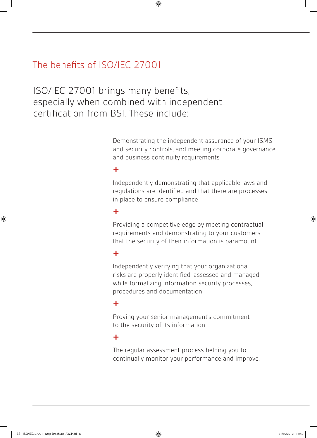## The benefits of ISO/IEC 27001

ISO/IEC 27001 brings many benefits, especially when combined with independent certification from BSI. These include:

> Demonstrating the independent assurance of your ISMS and security controls, and meeting corporate governance and business continuity requirements

## **+**

Independently demonstrating that applicable laws and regulations are identified and that there are processes in place to ensure compliance

## **+**

Providing a competitive edge by meeting contractual requirements and demonstrating to your customers that the security of their information is paramount

## **+**

Independently verifying that your organizational risks are properly identified, assessed and managed, while formalizing information security processes, procedures and documentation

### **+**

Proving your senior management's commitment to the security of its information

### **+**

The regular assessment process helping you to continually monitor your performance and improve.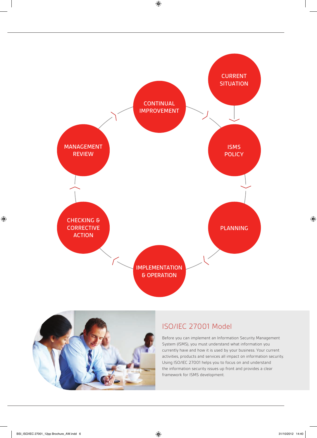



### ISO/IEC 27001 Model

Before you can implement an Information Security Management System (ISMS), you must understand what information you currently have and how it is used by your business. Your current activities, products and services all impact on information security. Using ISO/IEC 27001 helps you to focus on and understand the information security issues up front and provides a clear framework for ISMS development.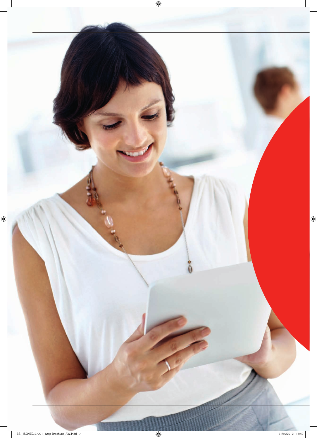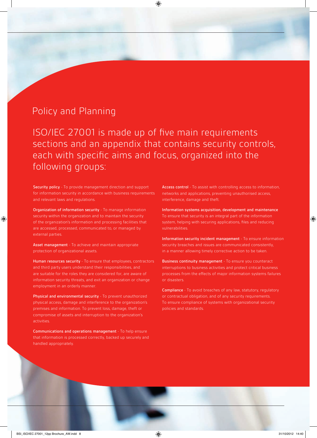## Policy and Planning

ISO/IEC 27001 is made up of five main requirements sections and an appendix that contains security controls, each with specific aims and focus, organized into the following groups:

Security policy - To provide management direction and support for information security in accordance with business requirements and relevant laws and regulations.

Organization of information security - To manage information security within the organization and to maintain the security of the organization's information and processing facilities that are accessed, processed, communicated to, or managed by external parties.

Asset management - To achieve and maintain appropriate protection of organizational assets.

Human resources security - To ensure that employees, contractors and third party users understand their responsibilities, and are suitable for the roles they are considered for, are aware of information security threats, and exit an organization or change employment in an orderly manner.

Physical and environmental security - To prevent unauthorized physical access, damage and interference to the organization's premises and information. To prevent loss, damage, theft or compromise of assets and interruption to the organization's activities.

Communications and operations management - To help ensure that information is processed correctly, backed up securely and handled appropriately.

Access control - To assist with controlling access to information, networks and applications, preventing unauthorised access, interference, damage and theft.

Information systems acquisition, development and maintenance To ensure that security is an integral part of the information system, helping with securing applications, files and reducing vulnerabilities.

Information security incident management - To ensure information security breaches and issues are communicated consistently, in a manner allowing timely corrective action to be taken.

Business continuity management - To ensure you counteract interruptions to business activities and protect critical business processes from the effects of major information systems failures or disasters.

Compliance - To avoid breaches of any law, statutory, regulatory or contractual obligation, and of any security requirements. To ensure compliance of systems with organizational security policies and standards.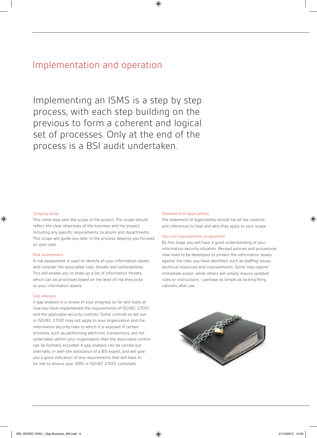## Implementation and operation

Implementing an ISMS is a step by step process, with each step building on the previous to form a coherent and logical set of processes. Only at the end of the process is a BSI audit undertaken.

#### Scoping study

This initial step sets the scope of the project. The scope should reflect the clear objectives of the business and the project, including any specific requirements, locations and departments. This scope will guide you later in the process, keeping you focused on your task.

#### Risk assessment

A risk assessment is used to identify all your information assets and consider the associated risks, threats and vulnerabilities. This will enable you to draw up a list of information threats, which can be prioritised based on the level of risk they pose to your information assets.

#### Gap analysis

A gap analysis is a review of your progress so far and looks at how you have implemented the requirements of ISO/IEC 27001 and the applicable security controls. Some controls as set out in ISO/IEC 27001 may not apply to your organization and the information security risks to which it is exposed. If certain activities, such as performing electronic transactions, are not undertaken within your organization then the associated control can be formally excluded. A gap analysis can be carried out internally, or with the assistance of a BSI expert, and will give you a good indication of any requirements that still have to be met to ensure your ISMS is ISO/IEC 27001 compliant.

#### Statement of applicability

The statement of applicability should list all the controls and references to how and why they apply to your scope.

#### Security improvement programme

By this stage you will have a good understanding of your information security situation. Revised policies and procedures now need to be developed to protect the information assets against the risks you have identified, such as staffing issues, technical resources and improvements. Some may require immediate action, while others will simply require updated rules or instructions – perhaps as simple as locking filing cabinets after use.

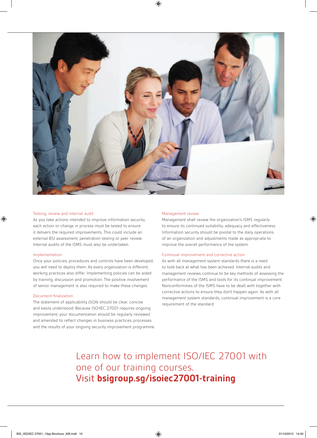

#### Testing, review and internal audit

As you take actions intended to improve information security, each action or change in process must be tested to ensure it delivers the required improvements. This could include an external BSI assessment, penetration testing or peer review. Internal audits of the ISMS must also be undertaken.

#### Implementation

Once your policies, procedures and controls have been developed, you will need to deploy them. As every organization is different, working practices also differ. Implementing policies can be aided by training, discussion and promotion. The positive involvement of senior management is also required to make these changes.

#### Document finalization

The statement of applicability (SOA) should be clear, concise and easily understood. Because ISO/IEC 27001 requires ongoing improvement, your documentation should be regularly reviewed and amended to reflect changes in business practices, processes and the results of your ongoing security improvement programme.

#### Management review

Management shall review the organization's ISMS regularly to ensure its continued suitability, adequacy and effectiveness. Information security should be pivotal to the daily operations of an organization and adjustments made as appropriate to improve the overall performance of the system.

#### Continual improvement and corrective action

As with all management system standards there is a need to look back at what has been achieved. Internal audits and management reviews continue to be key methods of assessing the performance of the ISMS and tools for its continual improvement. Nonconformities of the ISMS have to be dealt with together with corrective actions to ensure they don't happen again. As with all management system standards, continual improvement is a core requirement of the standard.

Learn how to implement ISO/IEC 27001 with one of our training courses. Visit **[bsigroup.sg/isoiec27](http://www.bsigroup.com/27training)001-training**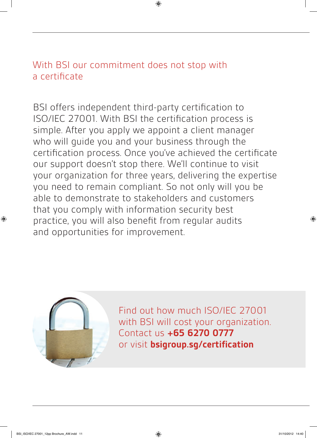With BSI our commitment does not stop with a certificate

BSI offers independent third-party certification to ISO/IEC 27001. With BSI the certification process is simple. After you apply we appoint a client manager who will guide you and your business through the certification process. Once you've achieved the certificate our support doesn't stop there. We'll continue to visit your organization for three years, delivering the expertise you need to remain compliant. So not only will you be able to demonstrate to stakeholders and customers that you comply with information security best practice, you will also benefit from regular audits and opportunities for improvement.



Find out how much ISO/IEC 27001 with BSI will cost your organization. Contact us **+65 6270 0777**  or visit **[bsigroup.sg/certificat](http://www.bsigroup.com/27001)ion**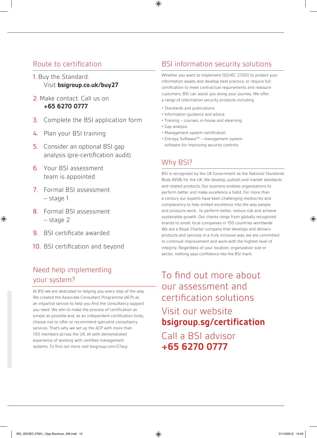### Route to certification

- 1. Buy the Standard. Visit **[bsigroup.co.uk/buy27](http://www.bsigroup.co.uk/buy27)**
- 2. Make contact. Call us on **+65 6270 0777**
- 3. Complete the BSI application form
- 4. Plan your BSI training
- 5. Consider an optional BSI gap analysis (pre-certification audit)
- 6. Your BSI assessment team is appointed
- 7. Formal BSI assessment – stage 1
- 8. Formal BSI assessment – stage 2
- 9. BSI certificate awarded
- 10. BSI certification and beyond

## Need help implementing your system?

At BSI we are dedicated to helping you every step of the way. We created the Associate Consultant Programme (ACP) as an impartial service to help you find the consultancy support you need. We aim to make the process of certification as simple as possible and, as an independent certification body, choose not to offer or recommend specialist consultancy services. That's why we set up the ACP with more than 100 members across the UK, all with demonstrated experience of working with certified management systems. To find out more visit [bsigroup.com/27acp](http://www.bsigroup.com/27acp)

## BSI information security solutions

Whether you want to implement ISO/IEC 27001 to protect your information assets and develop best practice, or require full certification to meet contractual requirements and reassure customers, BSI can assist you along your journey. We offer a range of information security products including:

- Standards and publications
- Information guidance and advice
- Training courses, in-house and elearning
- Gap analysis
- Management system certification
- Entropy Software<sup>TM</sup> management system software for improving security controls

## Why BSI?

BSI is recognized by the UK Government as the National Standards Body (NSB) for the UK. We develop, publish and market standards and related products. Our business enables organizations to perform better and make excellence a habit. For more than a century our experts have been challenging mediocrity and complacency to help embed excellence into the way people and products work... to perform better, reduce risk and achieve sustainable growth. Our clients range from globally recognized brands to small, local companies in 150 countries worldwide. We are a Royal Charter company that develops and delivers products and services in a truly inclusive way, we are committed to continual improvement and work with the highest level of integrity. Regardless of your location, organization size or sector, nothing says confidence like the BSI mark.

To find out more about our assessment and certification solutions Visit our website **[bsigroup.sg/certificat](http://www.bsigroup.com/27001)ion** Call a BSI advisor **+65 6270 0777**